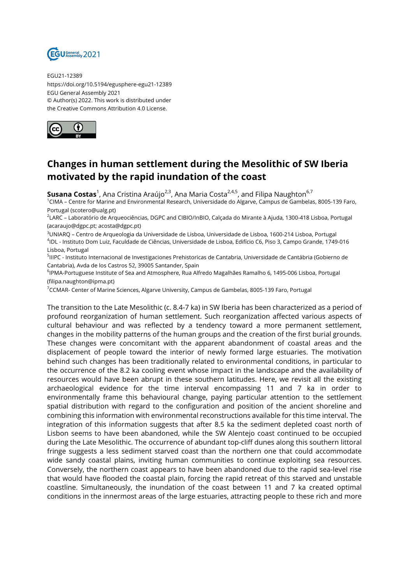

EGU21-12389 https://doi.org/10.5194/egusphere-egu21-12389 EGU General Assembly 2021 © Author(s) 2022. This work is distributed under the Creative Commons Attribution 4.0 License.



## **Changes in human settlement during the Mesolithic of SW Iberia motivated by the rapid inundation of the coast**

**Susana Costas**<sup>1</sup>, Ana Cristina Araújo<sup>2,3</sup>, Ana Maria Costa<sup>2,4,5</sup>, and Filipa Naughton<sup>6,7</sup>

<sup>1</sup>CIMA – Centre for Marine and Environmental Research, Universidade do Algarve, Campus de Gambelas, 8005-139 Faro, Portugal (scotero@ualg.pt)

2 LARC – Laboratório de Arqueociências, DGPC and CIBIO/InBIO, Calçada do Mirante à Ajuda, 1300-418 Lisboa, Portugal (acaraujo@dgpc.pt; acosta@dgpc.pt)

<sup>3</sup>UNIARQ – Centro de Arqueologia da Universidade de Lisboa, Universidade de Lisboa, 1600-214 Lisboa, Portugal 4 IDL - Instituto Dom Luiz, Faculdade de Ciências, Universidade de Lisboa, Edifício C6, Piso 3, Campo Grande, 1749-016 Lisboa, Portugal

<sup>5</sup>IIIPC - Instituto Internacional de Investigaciones Prehistoricas de Cantabria, Universidade de Cantábria (Gobierno de Cantabria), Avda de los Castros 52, 39005 Santander, Spain

<sup>6</sup>lPMA-Portuguese Institute of Sea and Atmosphere, Rua Alfredo Magalhães Ramalho 6, 1495-006 Lisboa, Portugal (filipa.naughton@ipma.pt)

<sup>7</sup>CCMAR- Center of Marine Sciences, Algarve University, Campus de Gambelas, 8005-139 Faro, Portugal

The transition to the Late Mesolithic (c. 8.4-7 ka) in SW Iberia has been characterized as a period of profound reorganization of human settlement. Such reorganization affected various aspects of cultural behaviour and was reflected by a tendency toward a more permanent settlement, changes in the mobility patterns of the human groups and the creation of the first burial grounds. These changes were concomitant with the apparent abandonment of coastal areas and the displacement of people toward the interior of newly formed large estuaries. The motivation behind such changes has been traditionally related to environmental conditions, in particular to the occurrence of the 8.2 ka cooling event whose impact in the landscape and the availability of resources would have been abrupt in these southern latitudes. Here, we revisit all the existing archaeological evidence for the time interval encompassing 11 and 7 ka in order to environmentally frame this behavioural change, paying particular attention to the settlement spatial distribution with regard to the configuration and position of the ancient shoreline and combining this information with environmental reconstructions available for this time interval. The integration of this information suggests that after 8.5 ka the sediment depleted coast north of Lisbon seems to have been abandoned, while the SW Alentejo coast continued to be occupied during the Late Mesolithic. The occurrence of abundant top-cliff dunes along this southern littoral fringe suggests a less sediment starved coast than the northern one that could accommodate wide sandy coastal plains, inviting human communities to continue exploiting sea resources. Conversely, the northern coast appears to have been abandoned due to the rapid sea-level rise that would have flooded the coastal plain, forcing the rapid retreat of this starved and unstable coastline. Simultaneously, the inundation of the coast between 11 and 7 ka created optimal conditions in the innermost areas of the large estuaries, attracting people to these rich and more